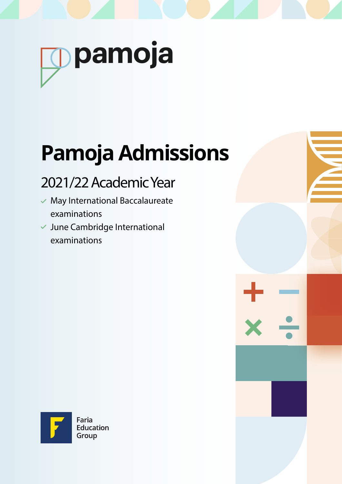

# **Pamoja Admissions**

# 2021/22 Academic Year

- $\checkmark$  May International Baccalaureate examinations
- $\checkmark$  June Cambridge International examinations



Education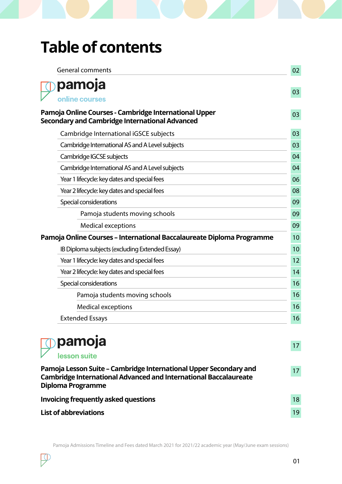# **Table of contents**

| <b>General comments</b>                                                                                                                                           | 02 |
|-------------------------------------------------------------------------------------------------------------------------------------------------------------------|----|
| pamoja                                                                                                                                                            |    |
| online courses                                                                                                                                                    | 03 |
| Pamoja Online Courses - Cambridge International Upper<br><b>Secondary and Cambridge International Advanced</b>                                                    | 03 |
| Cambridge International iGSCE subjects                                                                                                                            | 03 |
| Cambridge International AS and A Level subjects                                                                                                                   | 03 |
| Cambridge IGCSE subjects                                                                                                                                          | 04 |
| Cambridge International AS and A Level subjects                                                                                                                   | 04 |
| Year 1 lifecycle: key dates and special fees                                                                                                                      | 06 |
| Year 2 lifecycle: key dates and special fees                                                                                                                      | 08 |
| Special considerations                                                                                                                                            | 09 |
| Pamoja students moving schools                                                                                                                                    | 09 |
| <b>Medical exceptions</b>                                                                                                                                         | 09 |
| Pamoja Online Courses - International Baccalaureate Diploma Programme                                                                                             | 10 |
| IB Diploma subjects (excluding Extended Essay)                                                                                                                    | 10 |
| Year 1 lifecycle: key dates and special fees                                                                                                                      | 12 |
| Year 2 lifecycle: key dates and special fees                                                                                                                      | 14 |
| Special considerations                                                                                                                                            | 16 |
| Pamoja students moving schools                                                                                                                                    | 16 |
| <b>Medical exceptions</b>                                                                                                                                         | 16 |
| <b>Extended Essays</b>                                                                                                                                            | 16 |
| pamoja<br>lesson suite                                                                                                                                            | 17 |
| Pamoja Lesson Suite – Cambridge International Upper Secondary and<br><b>Cambridge International Advanced and International Baccalaureate</b><br>Diploma Programme | 17 |
| <b>Invoicing frequently asked questions</b>                                                                                                                       | 18 |
| <b>List of abbreviations</b>                                                                                                                                      | 19 |

 $\mathcal{P}$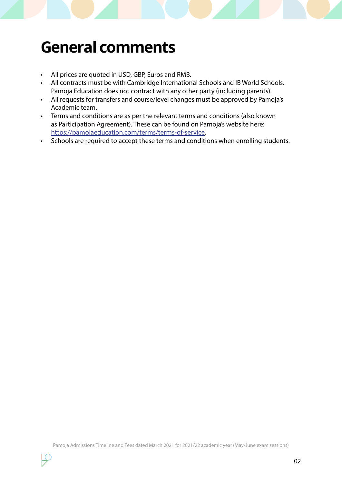# **General comments**

- All prices are quoted in USD, GBP, Euros and RMB.
- All contracts must be with Cambridge International Schools and IB World Schools. Pamoja Education does not contract with any other party (including parents).
- All requests for transfers and course/level changes must be approved by Pamoja's Academic team.
- Terms and conditions are as per the relevant terms and conditions (also known as Participation Agreement). These can be found on Pamoja's website here: https://pamojaeducation.com/terms/terms-of-service.
- Schools are required to accept these terms and conditions when enrolling students.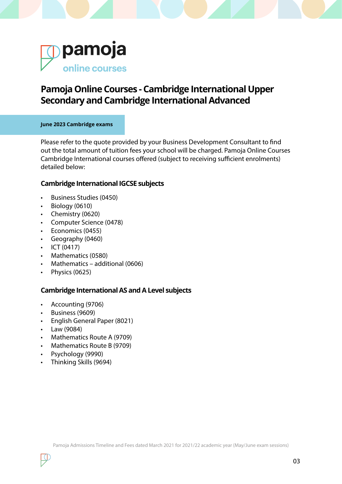

## **Pamoja Online Courses - Cambridge International Upper Secondary and Cambridge International Advanced**

#### **June 2023 Cambridge exams**

Please refer to the quote provided by your Business Development Consultant to find out the total amount of tuition fees your school will be charged. Pamoja Online Courses Cambridge International courses offered (subject to receiving sufficient enrolments) detailed below:

#### **Cambridge International IGCSE subjects**

- Business Studies (0450)
- Biology (0610)
- Chemistry (0620)
- Computer Science (0478)
- Economics (0455)
- Geography (0460)
- ICT (0417)
- Mathematics (0580)
- Mathematics additional (0606)
- Physics (0625)

#### **Cambridge International AS and A Level subjects**

- Accounting (9706)
- Business (9609)
- English General Paper (8021)
- Law (9084)
- Mathematics Route A (9709)
- Mathematics Route B (9709)
- Psychology (9990)
- Thinking Skills (9694)

03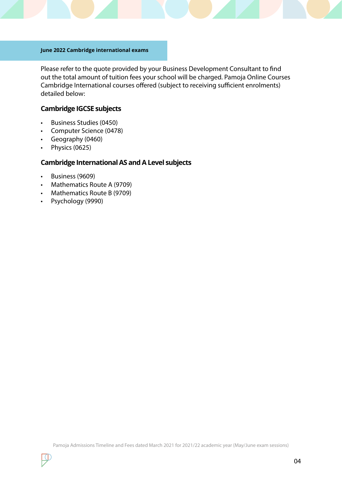#### **June 2022 Cambridge international exams**

Please refer to the quote provided by your Business Development Consultant to find out the total amount of tuition fees your school will be charged. Pamoja Online Courses Cambridge International courses offered (subject to receiving sufficient enrolments) detailed below:

#### **Cambridge IGCSE subjects**

- Business Studies (0450)
- Computer Science (0478)
- Geography (0460)
- Physics (0625)

### **Cambridge International AS and A Level subjects**

- Business (9609)
- Mathematics Route A (9709)
- Mathematics Route B (9709)
- Psychology (9990)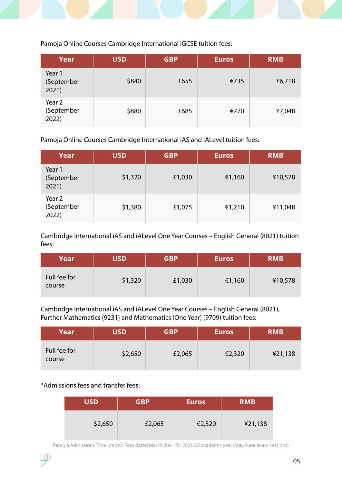Pamoja Online Courses Cambridge International iGCSE tuition fees:

| Year                          | <b>USD</b> | <b>GBP</b> | <b>Euros</b> | <b>RMB</b> |
|-------------------------------|------------|------------|--------------|------------|
| Year 1<br>(September<br>2021) | \$840      | £655       | €735         | ¥6,718     |
| Year 2<br>(September<br>2022) | \$880      | £685       | €770         | ¥7,048     |

Pamoja Online Courses Cambridge International iAS and iALevel tuition fees:

| <b>Year</b>                   | <b>USD</b> | <b>GBP</b> | <b>Euros</b> | <b>RMB</b> |
|-------------------------------|------------|------------|--------------|------------|
| Year 1<br>(September<br>2021) | \$1,320    | £1,030     | €1,160       | ¥10,578    |
| Year 2<br>(September<br>2022) | \$1,380    | £1,075     | €1,210       | ¥11,048    |

Cambridge International iAS and iALevel One Year Courses – English General (8021) tuition fees:

| Year                   | <b>USD</b> | <b>GBP</b> | <b>Euros</b> | <b>RMB</b> |
|------------------------|------------|------------|--------------|------------|
| Full fee for<br>course | \$1,320    | £1,030     | €1,160       | ¥10,578    |

Cambridge International iAS and iALevel One Year Courses – English General (8021), Further Mathematics (9231) and Mathematics (One Year) (9709) tuition fees:

| Year                   | <b>USD</b> | <b>GBP</b> | <b>Euros</b> | <b>RMB</b> |
|------------------------|------------|------------|--------------|------------|
| Full fee for<br>course | \$2,650    | £2,065     | €2,320       | ¥21,138    |

\*Admissions fees and transfer fees:

| <b>USD</b> | <b>GBP</b> | <b>Euros</b> | <b>RMB</b> |
|------------|------------|--------------|------------|
| \$2,650    | £2,065     | €2,320       | ¥21,138    |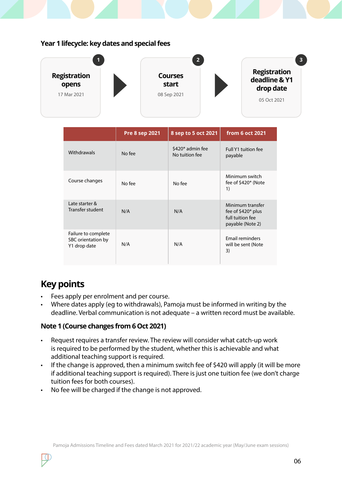#### **Year 1 lifecycle: key dates and special fees**



|                                                           | <b>Pre 8 sep 2021</b> | 8 sep to 5 oct 2021                | from 6 oct 2021                                                                 |
|-----------------------------------------------------------|-----------------------|------------------------------------|---------------------------------------------------------------------------------|
| Withdrawals                                               | No fee                | \$420* admin fee<br>No tuition fee | Full Y1 tuition fee<br>payable                                                  |
| Course changes                                            | No fee                | No fee                             | Minimum switch<br>fee of \$420* (Note<br>1)                                     |
| Late starter &<br>Transfer student                        | N/A                   | N/A                                | Minimum transfer<br>fee of $$420*$ plus<br>full tuition fee<br>payable (Note 2) |
| Failure to complete<br>SBC orientation by<br>Y1 drop date | N/A                   | N/A                                | Email reminders<br>will be sent (Note<br>3)                                     |

# **Key points**

- Fees apply per enrolment and per course.
- Where dates apply (eg to withdrawals), Pamoja must be informed in writing by the deadline. Verbal communication is not adequate – a written record must be available.

#### **Note 1 (Course changes from 6 Oct 2021)**

- Request requires a transfer review. The review will consider what catch-up work is required to be performed by the student, whether this is achievable and what additional teaching support is required.
- If the change is approved, then a minimum switch fee of \$420 will apply (it will be more if additional teaching support is required). There is just one tuition fee (we don't charge tuition fees for both courses).
- No fee will be charged if the change is not approved.

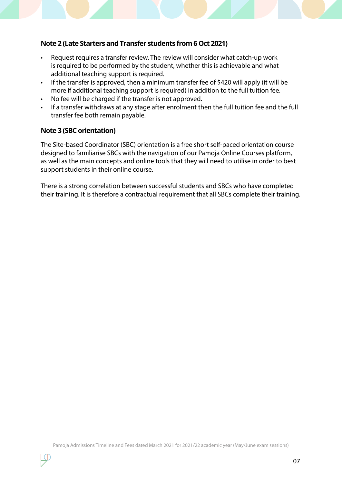#### **Note 2 (Late Starters and Transfer students from 6 Oct 2021)**

- Request requires a transfer review. The review will consider what catch-up work is required to be performed by the student, whether this is achievable and what additional teaching support is required.
- If the transfer is approved, then a minimum transfer fee of \$420 will apply (it will be more if additional teaching support is required) in addition to the full tuition fee.
- No fee will be charged if the transfer is not approved.
- If a transfer withdraws at any stage after enrolment then the full tuition fee and the full transfer fee both remain payable.

#### **Note 3 (SBC orientation)**

The Site-based Coordinator (SBC) orientation is a free short self-paced orientation course designed to familiarise SBCs with the navigation of our Pamoja Online Courses platform, as well as the main concepts and online tools that they will need to utilise in order to best support students in their online course.

There is a strong correlation between successful students and SBCs who have completed their training. It is therefore a contractual requirement that all SBCs complete their training.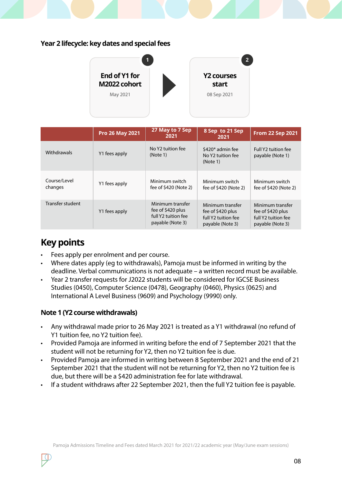### **Year 2 lifecycle: key dates and special fees**



|                         | <b>Pro 26 May 2021</b> | 27 May to 7 Sep<br>2021                                                          | 8 Sep to 21 Sep<br>2021                                                          | <b>From 22 Sep 2021</b>                                                          |
|-------------------------|------------------------|----------------------------------------------------------------------------------|----------------------------------------------------------------------------------|----------------------------------------------------------------------------------|
| Withdrawals             | Y1 fees apply          | No Y2 tuition fee<br>(Note 1)                                                    | \$420* admin fee<br>No Y2 tuition fee<br>(Note 1)                                | Full Y2 tuition fee<br>payable (Note 1)                                          |
| Course/Level<br>changes | Y1 fees apply          | Minimum switch<br>fee of \$420 (Note 2)                                          | Minimum switch<br>fee of \$420 (Note 2)                                          | Minimum switch<br>fee of \$420 (Note 2)                                          |
| Transfer student        | Y1 fees apply          | Minimum transfer<br>fee of \$420 plus<br>full Y2 tuition fee<br>payable (Note 3) | Minimum transfer<br>fee of \$420 plus<br>full Y2 tuition fee<br>payable (Note 3) | Minimum transfer<br>fee of \$420 plus<br>full Y2 tuition fee<br>payable (Note 3) |

# **Key points**

- Fees apply per enrolment and per course.
- Where dates apply (eg to withdrawals), Pamoja must be informed in writing by the deadline. Verbal communications is not adequate – a written record must be available.
- Year 2 transfer requests for J2022 students will be considered for IGCSE Business Studies (0450), Computer Science (0478), Geography (0460), Physics (0625) and International A Level Business (9609) and Psychology (9990) only.

#### **Note 1 (Y2 course withdrawals)**

- Any withdrawal made prior to 26 May 2021 is treated as a Y1 withdrawal (no refund of Y1 tuition fee, no Y2 tuition fee).
- Provided Pamoja are informed in writing before the end of 7 September 2021 that the student will not be returning for Y2, then no Y2 tuition fee is due.
- Provided Pamoja are informed in writing between 8 September 2021 and the end of 21 September 2021 that the student will not be returning for Y2, then no Y2 tuition fee is due, but there will be a \$420 administration fee for late withdrawal.
- If a student withdraws after 22 September 2021, then the full Y2 tuition fee is payable.

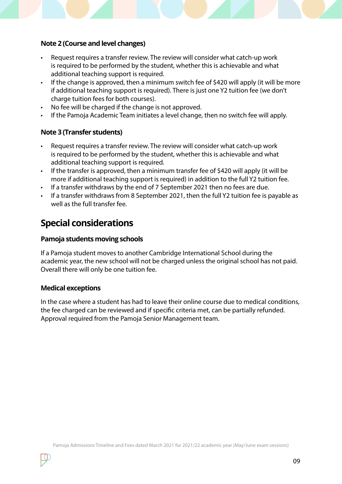#### **Note 2 (Course and level changes)**

- Request requires a transfer review. The review will consider what catch-up work is required to be performed by the student, whether this is achievable and what additional teaching support is required.
- If the change is approved, then a minimum switch fee of \$420 will apply (it will be more if additional teaching support is required). There is just one Y2 tuition fee (we don't charge tuition fees for both courses).
- No fee will be charged if the change is not approved.
- If the Pamoja Academic Team initiates a level change, then no switch fee will apply.

#### **Note 3 (Transfer students)**

- Request requires a transfer review. The review will consider what catch-up work is required to be performed by the student, whether this is achievable and what additional teaching support is required.
- If the transfer is approved, then a minimum transfer fee of \$420 will apply (it will be more if additional teaching support is required) in addition to the full Y2 tuition fee.
- If a transfer withdraws by the end of 7 September 2021 then no fees are due.
- If a transfer withdraws from 8 September 2021, then the full Y2 tuition fee is payable as well as the full transfer fee.

## **Special considerations**

#### **Pamoja students moving schools**

If a Pamoja student moves to another Cambridge International School during the academic year, the new school will not be charged unless the original school has not paid. Overall there will only be one tuition fee.

#### **Medical exceptions**

In the case where a student has had to leave their online course due to medical conditions, the fee charged can be reviewed and if specific criteria met, can be partially refunded. Approval required from the Pamoja Senior Management team.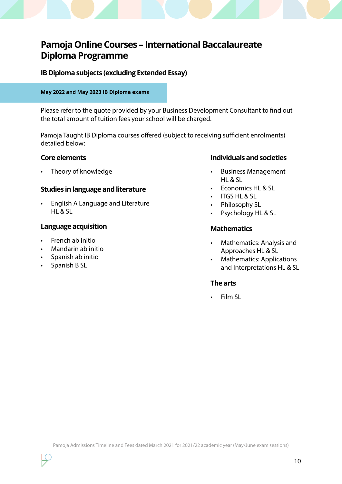# **Pamoja Online Courses – International Baccalaureate Diploma Programme**

**IB Diploma subjects (excluding Extended Essay)**

#### **May 2022 and May 2023 IB Diploma exams**

Please refer to the quote provided by your Business Development Consultant to find out the total amount of tuition fees your school will be charged.

Pamoja Taught IB Diploma courses offered (subject to receiving sufficient enrolments) detailed below:

#### **Studies in language and literature**

• English A Language and Literature HL & SL

#### **Language acquisition**

- French ab initio
- Mandarin ab initio
- Spanish ab initio
- Spanish B SL

#### **Core elements Individuals and societies**

- Theory of knowledge example and the settlement of the Business Management HL & SL
	- Economics HL & SL
	- ITGS HL & SL
	- Philosophy SL
	- Psychology HL & SL

#### **Mathematics**

- Mathematics: Analysis and Approaches HL & SL
- Mathematics: Applications and Interpretations HL & SL

#### **The arts**

• Film SL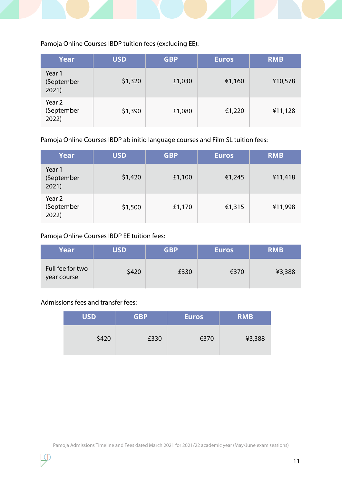

Pamoja Online Courses IBDP tuition fees (excluding EE):

| <b>Year</b>                   | <b>USD</b> | <b>GBP</b> | <b>Euros</b> | <b>RMB</b> |
|-------------------------------|------------|------------|--------------|------------|
| Year 1<br>(September<br>2021) | \$1,320    | £1,030     | €1,160       | ¥10,578    |
| Year 2<br>(September<br>2022) | \$1,390    | £1,080     | €1,220       | ¥11,128    |

Pamoja Online Courses IBDP ab initio language courses and Film SL tuition fees:

| Year                          | <b>USD</b> | <b>GBP</b> | <b>Euros</b> | <b>RMB</b> |
|-------------------------------|------------|------------|--------------|------------|
| Year 1<br>(September<br>2021) | \$1,420    | £1,100     | €1,245       | ¥11,418    |
| Year 2<br>(September<br>2022) | \$1,500    | £1,170     | €1,315       | ¥11,998    |

Pamoja Online Courses IBDP EE tuition fees:

| Year                            | <b>USD</b> | <b>GBP</b> | <b>Euros</b> | <b>RMB</b> |
|---------------------------------|------------|------------|--------------|------------|
| Full fee for two<br>year course | \$420      | £330       | €370         | ¥3,388     |

Admissions fees and transfer fees:

| <b>USD</b> | <b>GBP</b> | <b>Euros</b> | <b>RMB</b> |
|------------|------------|--------------|------------|
| \$420      | £330       | €370         | ¥3,388     |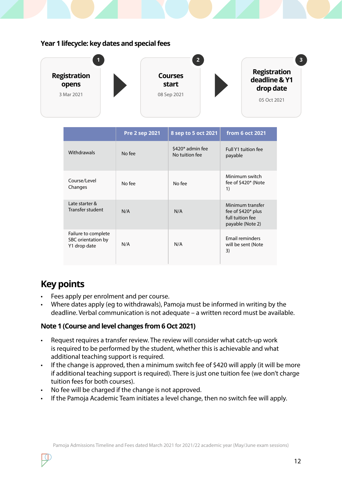#### **Year 1 lifecycle: key dates and special fees**



|                                                           | <b>Pre 2 sep 2021</b> | 8 sep to 5 oct 2021                | from 6 oct 2021                                                                 |
|-----------------------------------------------------------|-----------------------|------------------------------------|---------------------------------------------------------------------------------|
| Withdrawals                                               | No fee                | \$420* admin fee<br>No tuition fee | Full Y1 tuition fee<br>payable                                                  |
| Course/Level<br>Changes                                   | No fee                | No fee                             | Minimum switch<br>fee of \$420* (Note<br>1)                                     |
| Late starter &<br>Transfer student                        | N/A                   | N/A                                | Minimum transfer<br>fee of $$420*$ plus<br>full tuition fee<br>payable (Note 2) |
| Failure to complete<br>SBC orientation by<br>Y1 drop date | N/A                   | N/A                                | Email reminders<br>will be sent (Note<br>3)                                     |

# **Key points**

- Fees apply per enrolment and per course.
- Where dates apply (eg to withdrawals), Pamoja must be informed in writing by the deadline. Verbal communication is not adequate – a written record must be available.

#### **Note 1 (Course and level changes from 6 Oct 2021)**

- Request requires a transfer review. The review will consider what catch-up work is required to be performed by the student, whether this is achievable and what additional teaching support is required.
- If the change is approved, then a minimum switch fee of \$420 will apply (it will be more if additional teaching support is required). There is just one tuition fee (we don't charge tuition fees for both courses).
- No fee will be charged if the change is not approved.
- If the Pamoja Academic Team initiates a level change, then no switch fee will apply.

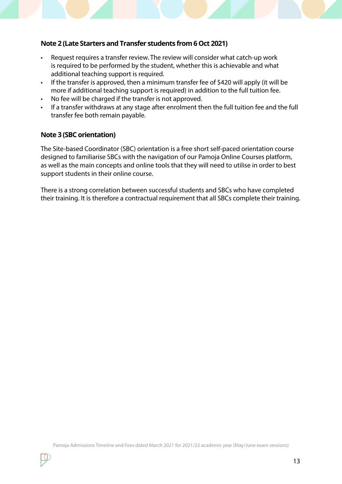#### **Note 2 (Late Starters and Transfer students from 6 Oct 2021)**

- Request requires a transfer review. The review will consider what catch-up work is required to be performed by the student, whether this is achievable and what additional teaching support is required.
- If the transfer is approved, then a minimum transfer fee of \$420 will apply (it will be more if additional teaching support is required) in addition to the full tuition fee.
- No fee will be charged if the transfer is not approved.
- If a transfer withdraws at any stage after enrolment then the full tuition fee and the full transfer fee both remain payable.

#### **Note 3 (SBC orientation)**

The Site-based Coordinator (SBC) orientation is a free short self-paced orientation course designed to familiarise SBCs with the navigation of our Pamoja Online Courses platform, as well as the main concepts and online tools that they will need to utilise in order to best support students in their online course.

There is a strong correlation between successful students and SBCs who have completed their training. It is therefore a contractual requirement that all SBCs complete their training.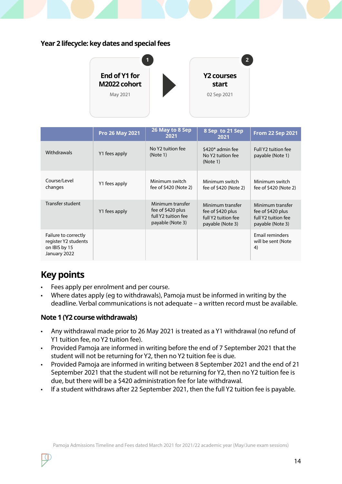### **Year 2 lifecycle: key dates and special fees**



|                                                                               | <b>Pro 26 May 2021</b> | 26 May to 8 Sep<br>2021                                                          | 8 Sep to 21 Sep<br>2021                                                          | <b>From 22 Sep 2021</b>                                                          |
|-------------------------------------------------------------------------------|------------------------|----------------------------------------------------------------------------------|----------------------------------------------------------------------------------|----------------------------------------------------------------------------------|
| <b>Withdrawals</b>                                                            | Y1 fees apply          | No Y2 tuition fee<br>(Note 1)                                                    | \$420* admin fee<br>No Y2 tuition fee<br>(Note 1)                                | Full Y2 tuition fee<br>payable (Note 1)                                          |
| Course/Level<br>changes                                                       | Y1 fees apply          | Minimum switch<br>fee of \$420 (Note 2)                                          | Minimum switch<br>fee of \$420 (Note 2)                                          | Minimum switch<br>fee of \$420 (Note 2)                                          |
| Transfer student                                                              | Y1 fees apply          | Minimum transfer<br>fee of \$420 plus<br>full Y2 tuition fee<br>payable (Note 3) | Minimum transfer<br>fee of \$420 plus<br>full Y2 tuition fee<br>payable (Note 3) | Minimum transfer<br>fee of \$420 plus<br>full Y2 tuition fee<br>payable (Note 3) |
| Failure to correctly<br>register Y2 students<br>on IBIS by 15<br>January 2022 |                        |                                                                                  |                                                                                  | Email reminders<br>will be sent (Note<br>4)                                      |

# **Key points**

- Fees apply per enrolment and per course.
- Where dates apply (eg to withdrawals), Pamoja must be informed in writing by the deadline. Verbal communications is not adequate – a written record must be available.

#### **Note 1 (Y2 course withdrawals)**

- Any withdrawal made prior to 26 May 2021 is treated as a Y1 withdrawal (no refund of Y1 tuition fee, no Y2 tuition fee).
- Provided Pamoja are informed in writing before the end of 7 September 2021 that the student will not be returning for Y2, then no Y2 tuition fee is due.
- Provided Pamoja are informed in writing between 8 September 2021 and the end of 21 September 2021 that the student will not be returning for Y2, then no Y2 tuition fee is due, but there will be a \$420 administration fee for late withdrawal.
- If a student withdraws after 22 September 2021, then the full Y2 tuition fee is payable.

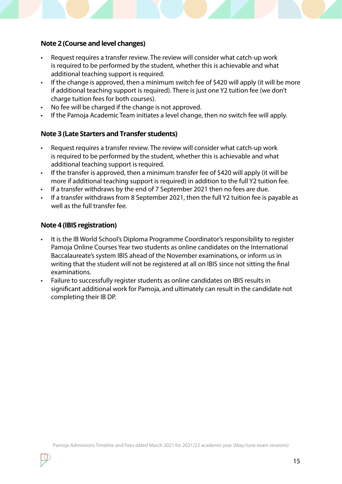#### **Note 2 (Course and level changes)**

- Request requires a transfer review. The review will consider what catch-up work is required to be performed by the student, whether this is achievable and what additional teaching support is required.
- If the change is approved, then a minimum switch fee of \$420 will apply (it will be more if additional teaching support is required). There is just one Y2 tuition fee (we don't charge tuition fees for both courses).
- No fee will be charged if the change is not approved.
- If the Pamoja Academic Team initiates a level change, then no switch fee will apply.

#### **Note 3 (Late Starters and Transfer students)**

- Request requires a transfer review. The review will consider what catch-up work is required to be performed by the student, whether this is achievable and what additional teaching support is required.
- If the transfer is approved, then a minimum transfer fee of \$420 will apply (it will be more if additional teaching support is required) in addition to the full Y2 tuition fee.
- If a transfer withdraws by the end of 7 September 2021 then no fees are due.
- If a transfer withdraws from 8 September 2021, then the full Y2 tuition fee is payable as well as the full transfer fee.

#### **Note 4 (IBIS registration)**

- It is the IB World School's Diploma Programme Coordinator's responsibility to register Pamoja Online Courses Year two students as online candidates on the International Baccalaureate's system IBIS ahead of the November examinations, or inform us in writing that the student will not be registered at all on IBIS since not sitting the final examinations.
- Failure to successfully register students as online candidates on IBIS results in significant additional work for Pamoja, and ultimately can result in the candidate not completing their IB DP.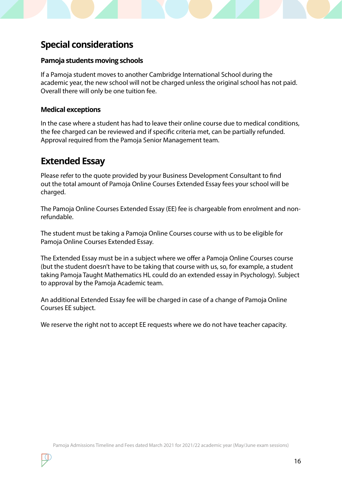# **Special considerations**

#### **Pamoja students moving schools**

If a Pamoja student moves to another Cambridge International School during the academic year, the new school will not be charged unless the original school has not paid. Overall there will only be one tuition fee.

#### **Medical exceptions**

In the case where a student has had to leave their online course due to medical conditions, the fee charged can be reviewed and if specific criteria met, can be partially refunded. Approval required from the Pamoja Senior Management team.

### **Extended Essay**

Please refer to the quote provided by your Business Development Consultant to find out the total amount of Pamoja Online Courses Extended Essay fees your school will be charged.

The Pamoja Online Courses Extended Essay (EE) fee is chargeable from enrolment and nonrefundable.

The student must be taking a Pamoja Online Courses course with us to be eligible for Pamoja Online Courses Extended Essay.

The Extended Essay must be in a subject where we offer a Pamoja Online Courses course (but the student doesn't have to be taking that course with us, so, for example, a student taking Pamoja Taught Mathematics HL could do an extended essay in Psychology). Subject to approval by the Pamoja Academic team.

An additional Extended Essay fee will be charged in case of a change of Pamoja Online Courses EE subject.

We reserve the right not to accept EE requests where we do not have teacher capacity.

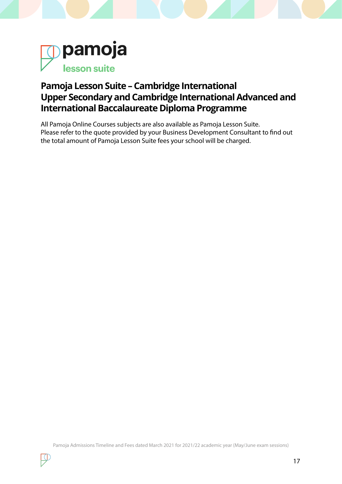

# **Pamoja Lesson Suite – Cambridge International Upper Secondary and Cambridge International Advanced and International Baccalaureate Diploma Programme**

All Pamoja Online Courses subjects are also available as Pamoja Lesson Suite. Please refer to the quote provided by your Business Development Consultant to find out the total amount of Pamoja Lesson Suite fees your school will be charged.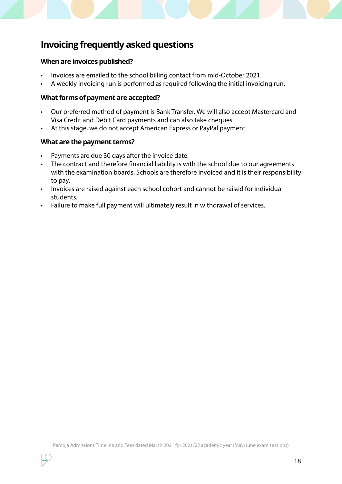# **Invoicing frequently asked questions**

#### **When are invoices published?**

- Invoices are emailed to the school billing contact from mid-October 2021.
- A weekly invoicing run is performed as required following the initial invoicing run.

#### **What forms of payment are accepted?**

- Our preferred method of payment is Bank Transfer. We will also accept Mastercard and Visa Credit and Debit Card payments and can also take cheques.
- At this stage, we do not accept American Express or PayPal payment.

#### **What are the payment terms?**

- Payments are due 30 days after the invoice date.
- The contract and therefore financial liability is with the school due to our agreements with the examination boards. Schools are therefore invoiced and it is their responsibility to pay.
- Invoices are raised against each school cohort and cannot be raised for individual students.
- Failure to make full payment will ultimately result in withdrawal of services.